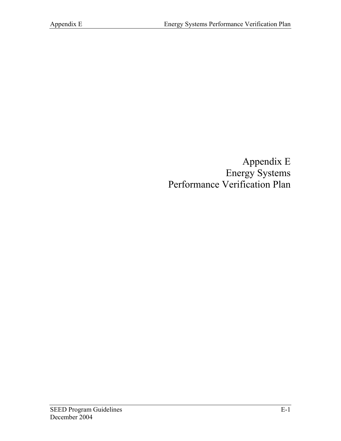Appendix E Energy Systems Performance Verification Plan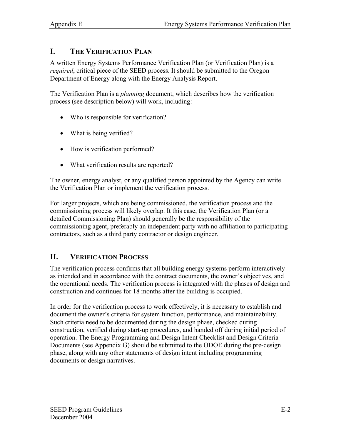### **I. THE VERIFICATION PLAN**

A written Energy Systems Performance Verification Plan (or Verification Plan) is a *required*, critical piece of the SEED process. It should be submitted to the Oregon Department of Energy along with the Energy Analysis Report.

The Verification Plan is a *planning* document, which describes how the verification process (see description below) will work, including:

- Who is responsible for verification?
- What is being verified?
- How is verification performed?
- What verification results are reported?

The owner, energy analyst, or any qualified person appointed by the Agency can write the Verification Plan or implement the verification process.

For larger projects, which are being commissioned, the verification process and the commissioning process will likely overlap. It this case, the Verification Plan (or a detailed Commissioning Plan) should generally be the responsibility of the commissioning agent, preferably an independent party with no affiliation to participating contractors, such as a third party contractor or design engineer.

# **II. VERIFICATION PROCESS**

The verification process confirms that all building energy systems perform interactively as intended and in accordance with the contract documents, the owner's objectives, and the operational needs. The verification process is integrated with the phases of design and construction and continues for 18 months after the building is occupied.

In order for the verification process to work effectively, it is necessary to establish and document the owner's criteria for system function, performance, and maintainability. Such criteria need to be documented during the design phase, checked during construction, verified during start-up procedures, and handed off during initial period of operation. The Energy Programming and Design Intent Checklist and Design Criteria Documents (see Appendix G) should be submitted to the ODOE during the pre-design phase, along with any other statements of design intent including programming documents or design narratives.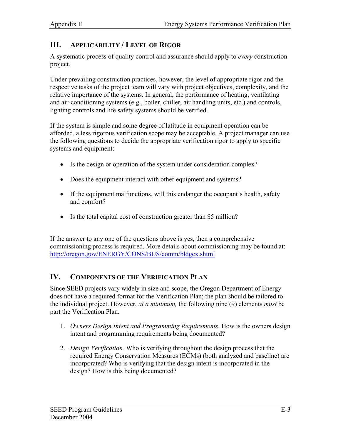#### **III. APPLICABILITY / LEVEL OF RIGOR**

A systematic process of quality control and assurance should apply to *every* construction project.

Under prevailing construction practices, however, the level of appropriate rigor and the respective tasks of the project team will vary with project objectives, complexity, and the relative importance of the systems. In general, the performance of heating, ventilating and air-conditioning systems (e.g., boiler, chiller, air handling units, etc.) and controls, lighting controls and life safety systems should be verified.

If the system is simple and some degree of latitude in equipment operation can be afforded, a less rigorous verification scope may be acceptable. A project manager can use the following questions to decide the appropriate verification rigor to apply to specific systems and equipment:

- Is the design or operation of the system under consideration complex?
- Does the equipment interact with other equipment and systems?
- If the equipment malfunctions, will this endanger the occupant's health, safety and comfort?
- Is the total capital cost of construction greater than \$5 million?

If the answer to any one of the questions above is yes, then a comprehensive commissioning process is required. More details about commissioning may be found at: <http://oregon.gov/ENERGY/CONS/BUS/comm/bldgcx.shtml>

## **IV. COMPONENTS OF THE VERIFICATION PLAN**

Since SEED projects vary widely in size and scope, the Oregon Department of Energy does not have a required format for the Verification Plan; the plan should be tailored to the individual project. However, *at a minimum,* the following nine (9) elements *must* be part the Verification Plan.

- 1. *Owners Design Intent and Programming Requirements*. How is the owners design intent and programming requirements being documented?
- 2. *Design Verification.* Who is verifying throughout the design process that the required Energy Conservation Measures (ECMs) (both analyzed and baseline) are incorporated? Who is verifying that the design intent is incorporated in the design? How is this being documented?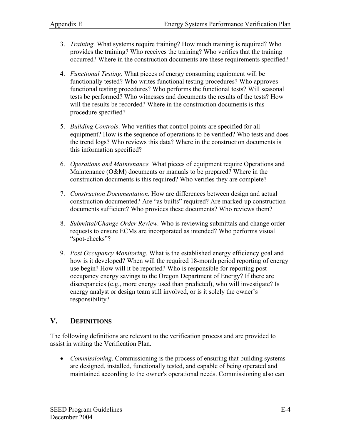- 3. *Training.* What systems require training? How much training is required? Who provides the training? Who receives the training? Who verifies that the training occurred? Where in the construction documents are these requirements specified?
- 4. *Functional Testing.* What pieces of energy consuming equipment will be functionally tested? Who writes functional testing procedures? Who approves functional testing procedures? Who performs the functional tests? Will seasonal tests be performed? Who witnesses and documents the results of the tests? How will the results be recorded? Where in the construction documents is this procedure specified?
- 5. *Building Controls*. Who verifies that control points are specified for all equipment? How is the sequence of operations to be verified? Who tests and does the trend logs? Who reviews this data? Where in the construction documents is this information specified?
- 6. *Operations and Maintenance.* What pieces of equipment require Operations and Maintenance (O&M) documents or manuals to be prepared? Where in the construction documents is this required? Who verifies they are complete?
- 7. *Construction Documentation.* How are differences between design and actual construction documented? Are "as builts" required? Are marked-up construction documents sufficient? Who provides these documents? Who reviews them?
- 8. *Submittal/Change Order Review.* Who is reviewing submittals and change order requests to ensure ECMs are incorporated as intended? Who performs visual "spot-checks"?
- 9. *Post Occupancy Monitoring.* What is the established energy efficiency goal and how is it developed? When will the required 18-month period reporting of energy use begin? How will it be reported? Who is responsible for reporting postoccupancy energy savings to the Oregon Department of Energy? If there are discrepancies (e.g., more energy used than predicted), who will investigate? Is energy analyst or design team still involved, or is it solely the owner's responsibility?

## **V. DEFINITIONS**

The following definitions are relevant to the verification process and are provided to assist in writing the Verification Plan.

• *Commissioning*. Commissioning is the process of ensuring that building systems are designed, installed, functionally tested, and capable of being operated and maintained according to the owner's operational needs. Commissioning also can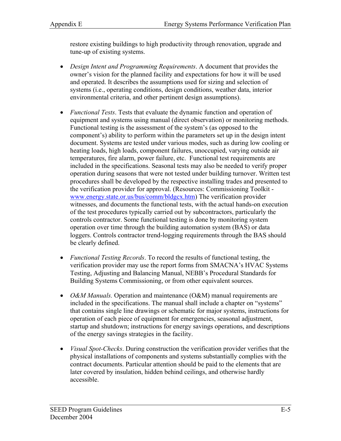restore existing buildings to high productivity through renovation, upgrade and tune-up of existing systems.

- *Design Intent and Programming Requirements*. A document that provides the owner's vision for the planned facility and expectations for how it will be used and operated. It describes the assumptions used for sizing and selection of systems (i.e., operating conditions, design conditions, weather data, interior environmental criteria, and other pertinent design assumptions).
- *Functional Tests*. Tests that evaluate the dynamic function and operation of equipment and systems using manual (direct observation) or monitoring methods. Functional testing is the assessment of the system's (as opposed to the component's) ability to perform within the parameters set up in the design intent document. Systems are tested under various modes, such as during low cooling or heating loads, high loads, component failures, unoccupied, varying outside air temperatures, fire alarm, power failure, etc. Functional test requirements are included in the specifications. Seasonal tests may also be needed to verify proper operation during seasons that were not tested under building turnover. Written test procedures shall be developed by the respective installing trades and presented to the verification provider for approval. (Resources: Commissioning Toolkit www.energy.state.or.us/bus/comm/bldgcx.htm) The verification provider witnesses, and documents the functional tests, with the actual hands-on execution of the test procedures typically carried out by subcontractors, particularly the controls contractor. Some functional testing is done by monitoring system operation over time through the building automation system (BAS) or data loggers. Controls contractor trend-logging requirements through the BAS should be clearly defined.
- *Functional Testing Records*. To record the results of functional testing, the verification provider may use the report forms from SMACNA's HVAC Systems Testing, Adjusting and Balancing Manual, NEBB's Procedural Standards for Building Systems Commissioning, or from other equivalent sources.
- *O&M Manuals.* Operation and maintenance (O&M) manual requirements are included in the specifications. The manual shall include a chapter on "systems" that contains single line drawings or schematic for major systems, instructions for operation of each piece of equipment for emergencies, seasonal adjustment, startup and shutdown; instructions for energy savings operations, and descriptions of the energy savings strategies in the facility.
- *Visual Spot-Checks*. During construction the verification provider verifies that the physical installations of components and systems substantially complies with the contract documents. Particular attention should be paid to the elements that are later covered by insulation, hidden behind ceilings, and otherwise hardly accessible.